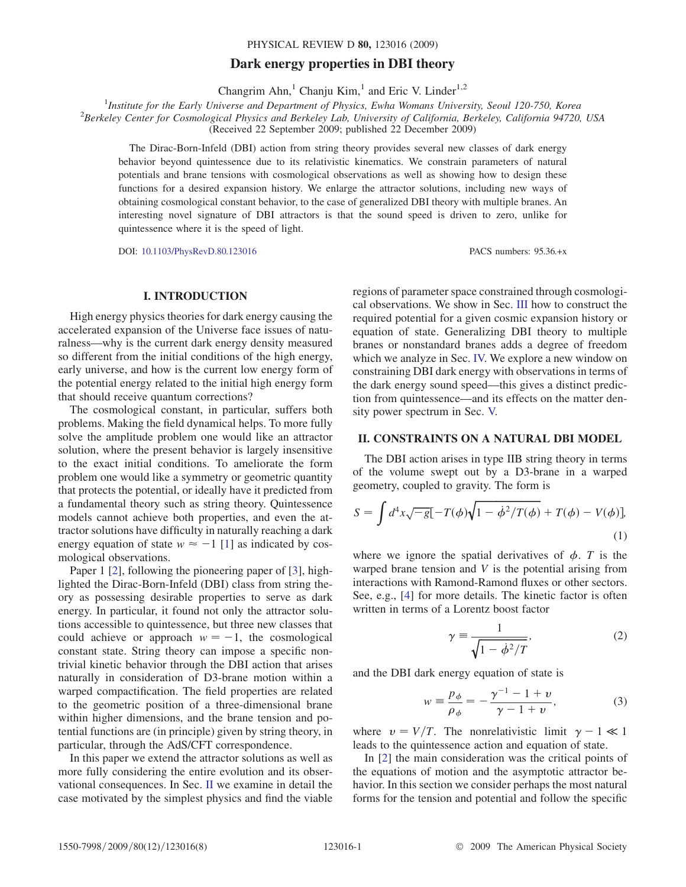# Dark energy properties in DBI theory

Changrim Ahn,<sup>1</sup> Chanju Kim,<sup>1</sup> and Eric V. Linder<sup>1,2</sup>

<sup>1</sup>Institute for the Early Universe and Department of Physics, Ewha Womans University, Seoul 120-750, Korea<sup>2</sup> Barkelay California 04720

 ${}^{2}$ Berkeley Center for Cosmological Physics and Berkeley Lab, University of California, Berkeley, California 94720, USA

(Received 22 September 2009; published 22 December 2009)

The Dirac-Born-Infeld (DBI) action from string theory provides several new classes of dark energy behavior beyond quintessence due to its relativistic kinematics. We constrain parameters of natural potentials and brane tensions with cosmological observations as well as showing how to design these functions for a desired expansion history. We enlarge the attractor solutions, including new ways of obtaining cosmological constant behavior, to the case of generalized DBI theory with multiple branes. An interesting novel signature of DBI attractors is that the sound speed is driven to zero, unlike for quintessence where it is the speed of light.

DOI: [10.1103/PhysRevD.80.123016](http://dx.doi.org/10.1103/PhysRevD.80.123016) PACS numbers: 95.36.+x

# I. INTRODUCTION

High energy physics theories for dark energy causing the accelerated expansion of the Universe face issues of naturalness—why is the current dark energy density measured so different from the initial conditions of the high energy, early universe, and how is the current low energy form of the potential energy related to the initial high energy form that should receive quantum corrections?

The cosmological constant, in particular, suffers both problems. Making the field dynamical helps. To more fully solve the amplitude problem one would like an attractor solution, where the present behavior is largely insensitive to the exact initial conditions. To ameliorate the form problem one would like a symmetry or geometric quantity that protects the potential, or ideally have it predicted from a fundamental theory such as string theory. Quintessence models cannot achieve both properties, and even the attractor solutions have difficulty in naturally reaching a dark energy equation of state  $w \approx -1$  [\[1](#page-7-0)] as indicated by cosmological observations.

Paper 1 [\[2](#page-7-1)], following the pioneering paper of [[3](#page-7-2)], highlighted the Dirac-Born-Infeld (DBI) class from string theory as possessing desirable properties to serve as dark energy. In particular, it found not only the attractor solutions accessible to quintessence, but three new classes that could achieve or approach  $w = -1$ , the cosmological constant state. String theory can impose a specific nontrivial kinetic behavior through the DBI action that arises naturally in consideration of D3-brane motion within a warped compactification. The field properties are related to the geometric position of a three-dimensional brane within higher dimensions, and the brane tension and potential functions are (in principle) given by string theory, in particular, through the AdS/CFT correspondence.

In this paper we extend the attractor solutions as well as more fully considering the entire evolution and its observational consequences. In Sec. II we examine in detail the case motivated by the simplest physics and find the viable

regions of parameter space constrained through cosmological observations. We show in Sec. III how to construct the required potential for a given cosmic expansion history or equation of state. Generalizing DBI theory to multiple branes or nonstandard branes adds a degree of freedom which we analyze in Sec. IV. We explore a new window on constraining DBI dark energy with observations in terms of the dark energy sound speed—this gives a distinct prediction from quintessence—and its effects on the matter density power spectrum in Sec. V.

# II. CONSTRAINTS ON A NATURAL DBI MODEL

The DBI action arises in type IIB string theory in terms of the volume swept out by a D3-brane in a warped geometry, coupled to gravity. The form is

<span id="page-0-2"></span>
$$
S = \int d^4x \sqrt{-g} \left[ -T(\phi)\sqrt{1 - \dot{\phi}^2/T(\phi)} + T(\phi) - V(\phi) \right],
$$
\n(1)

<span id="page-0-1"></span>where we ignore the spatial derivatives of  $\phi$ . T is the warped brane tension and  $V$  is the potential arising from interactions with Ramond-Ramond fluxes or other sectors. See, e.g., [\[4](#page-7-3)] for more details. The kinetic factor is often written in terms of a Lorentz boost factor

$$
\gamma \equiv \frac{1}{\sqrt{1 - \dot{\phi}^2/T}},\tag{2}
$$

<span id="page-0-0"></span>and the DBI dark energy equation of state is

$$
w = \frac{p_{\phi}}{\rho_{\phi}} = -\frac{\gamma^{-1} - 1 + \nu}{\gamma - 1 + \nu},
$$
 (3)

where  $v = V/T$ . The nonrelativistic limit  $\gamma - 1 \ll 1$ leads to the quintessence action and equation of state.

In [\[2](#page-7-1)] the main consideration was the critical points of the equations of motion and the asymptotic attractor behavior. In this section we consider perhaps the most natural forms for the tension and potential and follow the specific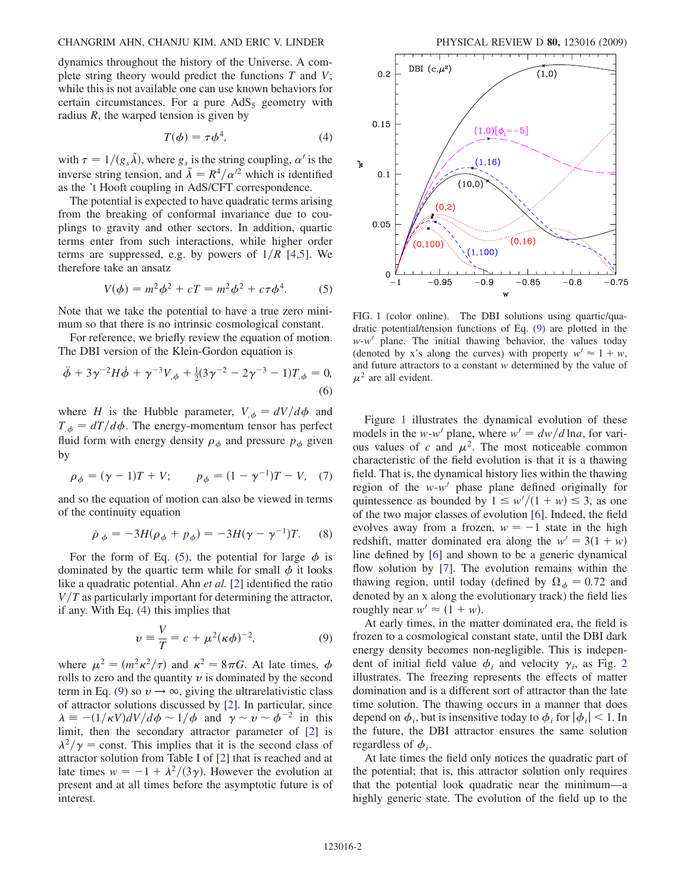dynamics throughout the history of the Universe. A complete string theory would predict the functions  $T$  and  $V$ ; while this is not available one can use known behaviors for certain circumstances. For a pure  $AdS_5$  geometry with radius  $R$ , the warped tension is given by

$$
T(\phi) = \tau \phi^4,\tag{4}
$$

<span id="page-1-1"></span>with  $\tau = 1/(g_s \tilde{\lambda})$ , where  $g_s$  is the string coupling,  $\alpha'$  is the inverse string tension, and  $\tilde{\lambda} = R^4/\alpha'^2$  which is identified as the 't Hooft coupling in AdS/CFT correspondence.

The potential is expected to have quadratic terms arising from the breaking of conformal invariance due to couplings to gravity and other sectors. In addition, quartic terms enter from such interactions, while higher order terms are suppressed, e.g. by powers of  $1/R$  [\[4,](#page-7-3)[5](#page-7-4)]. We therefore take an ansatz

$$
V(\phi) = m^2 \phi^2 + cT = m^2 \phi^2 + c\tau \phi^4.
$$
 (5)

<span id="page-1-0"></span>Note that we take the potential to have a true zero minimum so that there is no intrinsic cosmological constant.

For reference, we briefly review the equation of motion. The DBI version of the Klein-Gordon equation is

$$
\ddot{\phi} + 3\gamma^{-2}H\dot{\phi} + \gamma^{-3}V_{,\phi} + \frac{1}{2}(3\gamma^{-2} - 2\gamma^{-3} - 1)T_{,\phi} = 0,
$$
\n(6)

where H is the Hubble parameter,  $V_{,\phi} = dV/d\phi$  and  $T_{,\phi} = dT/d\phi$ . The energy-momentum tensor has perfect fluid form with energy density  $\rho_{\phi}$  and pressure  $p_{\phi}$  given by

$$
\rho_{\phi} = (\gamma - 1)T + V;
$$
\n $p_{\phi} = (1 - \gamma^{-1})T - V,$ \n(7)

and so the equation of motion can also be viewed in terms of the continuity equation

$$
\dot{\rho}_{\phi} = -3H(\rho_{\phi} + p_{\phi}) = -3H(\gamma - \gamma^{-1})T.
$$
 (8)

For the form of Eq. ([5](#page-1-0)), the potential for large  $\phi$  is dominated by the quartic term while for small  $\phi$  it looks like a quadratic potential. Ahn *et al.* [[2](#page-7-1)] identified the ratio  $V/T$  as particularly important for determining the attractor, if any. With Eq. ([4](#page-1-1)) this implies that

$$
v = \frac{V}{T} = c + \mu^2 (\kappa \phi)^{-2},
$$
 (9)

<span id="page-1-2"></span>where  $\mu^2 = (m^2 \kappa^2 / \tau)$  and  $\kappa^2 = 8 \pi G$ . At late times,  $\phi$ rolls to zero and the quantity  $v$  is dominated by the second term in Eq. ([9\)](#page-1-2) so  $v \rightarrow \infty$ , giving the ultrarelativistic class of attractor solutions discussed by [\[2\]](#page-7-1). In particular, since  $\lambda = -(1/\kappa V)dV/d\phi \sim 1/\phi$  and  $\gamma \sim v \sim \phi^{-2}$  in this limit, then the secondary attractor parameter of [[2](#page-7-1)] is  $\lambda^2/\gamma$  = const. This implies that it is the second class of attractor solution from Table I of [\[2\]](#page-7-1) that is reached and at late times  $w = -1 + \frac{\lambda^2}{3\gamma}$ . However the evolution at present and at all times before the asymptotic future is of interest.

<span id="page-1-3"></span>

FIG. 1 (color online). The DBI solutions using quartic/quadratic potential/tension functions of Eq. [\(9\)](#page-1-2) are plotted in the  $w-w'$  plane. The initial thawing behavior, the values today (denoted by x's along the curves) with property  $w' \approx 1 + w$ , and future attractors to a constant w determined by the value of  $\mu^2$  are all evident.

Figure [1](#page-1-3) illustrates the dynamical evolution of these models in the w-w' plane, where  $w' = dw/d \ln a$ , for various values of c and  $\mu^2$ . The most noticeable common characteristic of the field evolution is that it is a thawing field. That is, the dynamical history lies within the thawing region of the  $w-w'$  phase plane defined originally for quintessence as bounded by  $1 \leq w'/(1+w) \leq 3$ , as one of the two major classes of evolution [\[6\]](#page-7-5). Indeed, the field evolves away from a frozen,  $w = -1$  state in the high redshift, matter dominated era along the  $w' = 3(1 + w)$ line defined by [\[6\]](#page-7-5) and shown to be a generic dynamical flow solution by [[7\]](#page-7-6). The evolution remains within the thawing region, until today (defined by  $\Omega_{\phi} = 0.72$  and denoted by an x along the evolutionary track) the field lies roughly near  $w' \approx (1 + w)$ .

At early times, in the matter dominated era, the field is frozen to a cosmological constant state, until the DBI dark energy density becomes non-negligible. This is independent of initial field value  $\phi_i$  and velocity  $\gamma_i$ , as Fig. [2](#page-2-0) illustrates. The freezing represents the effects of matter domination and is a different sort of attractor than the late time solution. The thawing occurs in a manner that does depend on  $\phi_i$ , but is insensitive today to  $\phi_i$  for  $|\phi_i|$  < 1. In the future, the DBI attractor ensures the same solution regardless of  $\phi_i$ .

At late times the field only notices the quadratic part of the potential; that is, this attractor solution only requires that the potential look quadratic near the minimum—a highly generic state. The evolution of the field up to the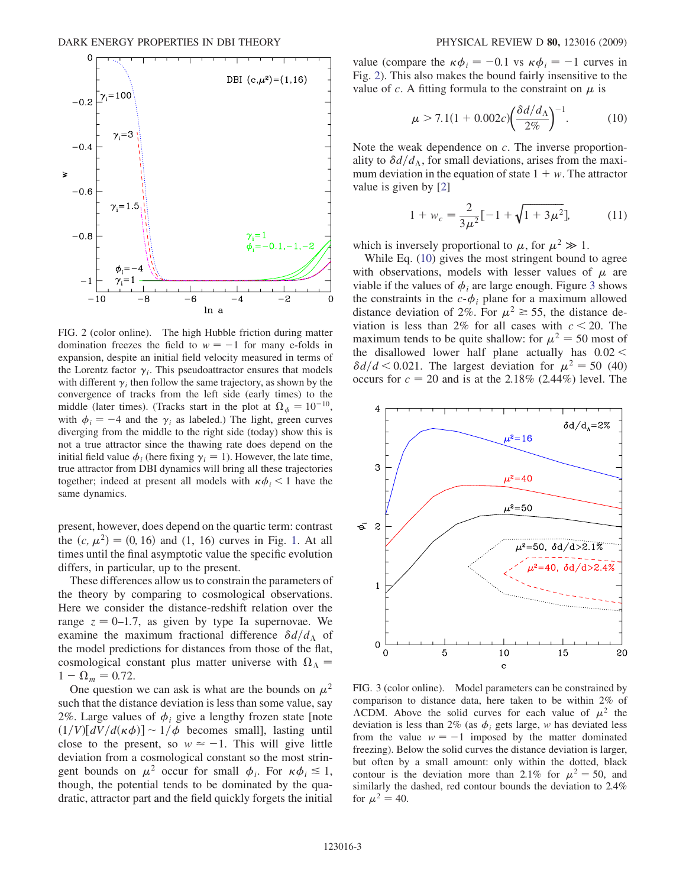<span id="page-2-0"></span>

FIG. 2 (color online). The high Hubble friction during matter domination freezes the field to  $w = -1$  for many e-folds in expansion, despite an initial field velocity measured in terms of the Lorentz factor  $\gamma_i$ . This pseudoattractor ensures that models with different  $\gamma_i$  then follow the same trajectory, as shown by the convergence of tracks from the left side (early times) to the middle (later times). (Tracks start in the plot at  $\Omega_{\phi} = 10^{-10}$ , with  $\phi_i = -4$  and the  $\gamma_i$  as labeled.) The light, green curves diverging from the middle to the right side (today) show this is not a true attractor since the thawing rate does depend on the initial field value  $\phi_i$  (here fixing  $\gamma_i = 1$ ). However, the late time, true attractor from DBI dynamics will bring all these trajectories together; indeed at present all models with  $\kappa \phi_i$  < 1 have the same dynamics.

present, however, does depend on the quartic term: contrast the  $(c, \mu^2) = (0, 16)$  $(c, \mu^2) = (0, 16)$  $(c, \mu^2) = (0, 16)$  and  $(1, 16)$  curves in Fig. 1. At all times until the final asymptotic value the specific evolution differs, in particular, up to the present.

These differences allow us to constrain the parameters of the theory by comparing to cosmological observations. Here we consider the distance-redshift relation over the range  $z = 0-1.7$ , as given by type Ia supernovae. We examine the maximum fractional difference  $\delta d/d_A$  of the model predictions for distances from those of the flat, cosmological constant plus matter universe with  $\Omega_{\Lambda} =$  $1 - \Omega_m = 0.72.$ 

One question we can ask is what are the bounds on  $\mu^2$ such that the distance deviation is less than some value, say 2%. Large values of  $\phi_i$  give a lengthy frozen state [note  $(1/V)[dV/d(\kappa\phi)] \sim 1/\phi$  becomes small], lasting until close to the present, so  $w \approx -1$ . This will give little deviation from a cosmological constant so the most stringent bounds on  $\mu^2$  occur for small  $\phi_i$ . For  $\kappa \phi_i \lesssim 1$ , though, the potential tends to be dominated by the quadratic, attractor part and the field quickly forgets the initial

<span id="page-2-1"></span>value (compare the  $\kappa \phi_i = -0.1$  vs  $\kappa \phi_i = -1$  curves in Fig. [2\)](#page-2-0). This also makes the bound fairly insensitive to the value of c. A fitting formula to the constraint on  $\mu$  is

$$
\mu > 7.1(1 + 0.002c) \left(\frac{\delta d/d_{\Lambda}}{2\%}\right)^{-1}.
$$
 (10)

Note the weak dependence on  $c$ . The inverse proportionality to  $\delta d/d_{\Lambda}$ , for small deviations, arises from the maximum deviation in the equation of state  $1 + w$ . The attractor value is given by [[2\]](#page-7-1)

$$
1 + w_c = \frac{2}{3\mu^2} [-1 + \sqrt{1 + 3\mu^2}], \tag{11}
$$

which is inversely proportional to  $\mu$ , for  $\mu^2 \gg 1$ .

While Eq. [\(10\)](#page-2-1) gives the most stringent bound to agree with observations, models with lesser values of  $\mu$  are viable if the values of  $\phi_i$  are large enough. Figure [3](#page-2-2) shows the constraints in the  $c-\phi_i$  plane for a maximum allowed distance deviation of 2%. For  $\mu^2 \ge 55$ , the distance deviation is less than 2% for all cases with  $c < 20$ . The maximum tends to be quite shallow: for  $\mu^2 = 50$  most of the disallowed lower half plane actually has  $0.02 <$  $\delta d/d < 0.021$ . The largest deviation for  $\mu^2 = 50 (40)$ occurs for  $c = 20$  and is at the 2.18% (2.44%) level. The

<span id="page-2-2"></span>

FIG. 3 (color online). Model parameters can be constrained by comparison to distance data, here taken to be within 2% of  $\Lambda$ CDM. Above the solid curves for each value of  $\mu^2$  the deviation is less than 2% (as  $\phi_i$  gets large, w has deviated less from the value  $w = -1$  imposed by the matter dominated freezing). Below the solid curves the distance deviation is larger, but often by a small amount: only within the dotted, black contour is the deviation more than 2.1% for  $\mu^2 = 50$ , and similarly the dashed, red contour bounds the deviation to 2.4% for  $\mu^2 = 40$ .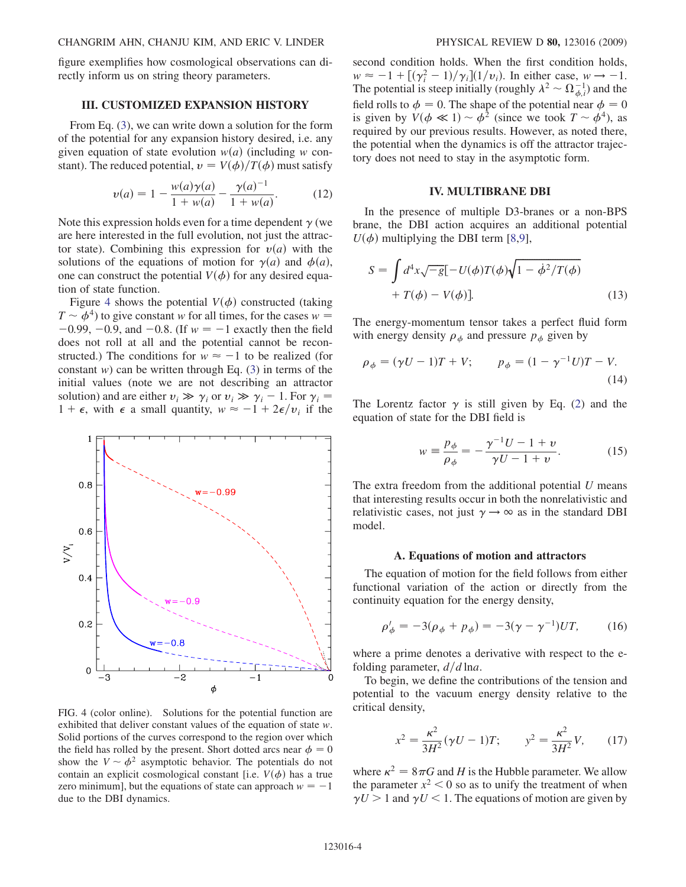figure exemplifies how cosmological observations can directly inform us on string theory parameters.

# III. CUSTOMIZED EXPANSION HISTORY

From Eq. ([3](#page-0-0)), we can write down a solution for the form of the potential for any expansion history desired, i.e. any given equation of state evolution  $w(a)$  (including w constant). The reduced potential,  $v = V(\phi)/T(\phi)$  must satisfy

$$
v(a) = 1 - \frac{w(a)\gamma(a)}{1 + w(a)} - \frac{\gamma(a)^{-1}}{1 + w(a)}.
$$
 (12)

Note this expression holds even for a time dependent  $\gamma$  (we are here interested in the full evolution, not just the attractor state). Combining this expression for  $v(a)$  with the solutions of the equations of motion for  $\gamma(a)$  and  $\phi(a)$ , one can construct the potential  $V(\phi)$  for any desired equation of state function.

Figure [4](#page-3-0) shows the potential  $V(\phi)$  constructed (taking  $T \sim \phi^4$ ) to give constant w for all times, for the cases  $w =$  $-0.99, -0.9,$  and  $-0.8$ . (If  $w = -1$  exactly then the field does not roll at all and the potential cannot be reconstructed.) The conditions for  $w \approx -1$  to be realized (for constant w) can be written through Eq.  $(3)$  $(3)$  in terms of the initial values (note we are not describing an attractor solution) and are either  $v_i \gg \gamma_i$  or  $v_i \gg \gamma_i - 1$ . For  $\gamma_i =$  $1 + \epsilon$ , with  $\epsilon$  a small quantity,  $w \approx -1 + 2\epsilon/v_i$  if the

<span id="page-3-0"></span>

FIG. 4 (color online). Solutions for the potential function are exhibited that deliver constant values of the equation of state w. Solid portions of the curves correspond to the region over which the field has rolled by the present. Short dotted arcs near  $\phi = 0$ show the  $V \sim \phi^2$  asymptotic behavior. The potentials do not contain an explicit cosmological constant [i.e.  $V(\phi)$  has a true zero minimum], but the equations of state can approach  $w = -1$ due to the DBI dynamics.

second condition holds. When the first condition holds,  $w \approx -1 + [(\gamma_i^2 - 1)/\gamma_i](1/v_i)$ . In either case,  $w \rightarrow -1$ . The potential is steep initially (roughly  $\lambda^2 \sim \Omega_{\phi,i}^{-1}$ ) and the field rolls to  $\phi = 0$ . The shape of the potential near  $\phi = 0$ is given by  $V(\phi \ll 1) \sim \phi^2$  (since we took  $T \sim \phi^4$ ), as required by our previous results. However, as noted there, the potential when the dynamics is off the attractor trajectory does not need to stay in the asymptotic form.

### IV. MULTIBRANE DBI

<span id="page-3-3"></span>In the presence of multiple D3-branes or a non-BPS brane, the DBI action acquires an additional potential  $U(\phi)$  multiplying the DBI term [[8,](#page-7-7)[9\]](#page-7-8),

$$
S = \int d^4x \sqrt{-g} \left[ -U(\phi)T(\phi)\sqrt{1 - \dot{\phi}^2/T(\phi)} + T(\phi) - V(\phi) \right].
$$
\n(13)

<span id="page-3-2"></span>The energy-momentum tensor takes a perfect fluid form with energy density  $\rho_{\phi}$  and pressure  $p_{\phi}$  given by

$$
\rho_{\phi} = (\gamma U - 1)T + V; \qquad p_{\phi} = (1 - \gamma^{-1}U)T - V.
$$
\n(14)

<span id="page-3-1"></span>The Lorentz factor  $\gamma$  is still given by Eq. [\(2\)](#page-0-1) and the equation of state for the DBI field is

$$
w = \frac{p_{\phi}}{\rho_{\phi}} = -\frac{\gamma^{-1}U - 1 + \nu}{\gamma U - 1 + \nu}.
$$
 (15)

The extra freedom from the additional potential  $U$  means that interesting results occur in both the nonrelativistic and relativistic cases, not just  $\gamma \rightarrow \infty$  as in the standard DBI model.

### A. Equations of motion and attractors

The equation of motion for the field follows from either functional variation of the action or directly from the continuity equation for the energy density,

$$
\rho'_{\phi} = -3(\rho_{\phi} + p_{\phi}) = -3(\gamma - \gamma^{-1})UT, \qquad (16)
$$

<span id="page-3-4"></span>where a prime denotes a derivative with respect to the efolding parameter,  $d/d \ln a$ .

To begin, we define the contributions of the tension and potential to the vacuum energy density relative to the critical density,

$$
x^{2} = \frac{\kappa^{2}}{3H^{2}}(\gamma U - 1)T; \qquad y^{2} = \frac{\kappa^{2}}{3H^{2}}V, \qquad (17)
$$

where  $\kappa^2 = 8\pi G$  and H is the Hubble parameter. We allow the parameter  $x^2$  < 0 so as to unify the treatment of when  $\gamma U > 1$  and  $\gamma U < 1$ . The equations of motion are given by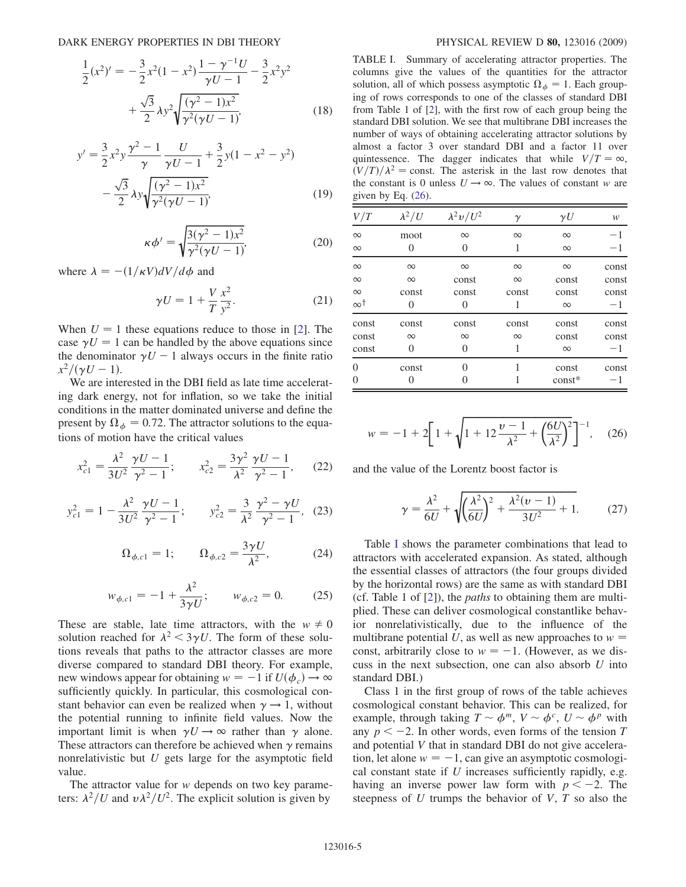$$
\frac{1}{2}(x^2)' = -\frac{3}{2}x^2(1-x^2)\frac{1-\gamma^{-1}U}{\gamma U-1} - \frac{3}{2}x^2y^2
$$

$$
+\frac{\sqrt{3}}{2}\lambda y^2\sqrt{\frac{(\gamma^2-1)x^2}{\gamma^2(\gamma U-1)}}
$$
(18)

$$
y' = \frac{3}{2}x^2y\frac{\gamma^2 - 1}{\gamma}\frac{U}{\gamma U - 1} + \frac{3}{2}y(1 - x^2 - y^2) - \frac{\sqrt{3}}{2}\lambda y\sqrt{\frac{(\gamma^2 - 1)x^2}{\gamma^2(\gamma U - 1)}}
$$
(19)

$$
\kappa \phi' = \sqrt{\frac{3(\gamma^2 - 1)x^2}{\gamma^2(\gamma U - 1)}},\tag{20}
$$

where  $\lambda = -(1/\kappa V)dV/d\phi$  and

$$
\gamma U = 1 + \frac{V}{T} \frac{x^2}{y^2}.
$$
 (21)

When  $U = 1$  these equations reduce to those in [[2\]](#page-7-1). The case  $\gamma U = 1$  can be handled by the above equations since the denominator  $\gamma U - 1$  always occurs in the finite ratio  $x^2/(\gamma U - 1).$ 

We are interested in the DBI field as late time accelerating dark energy, not for inflation, so we take the initial conditions in the matter dominated universe and define the present by  $\Omega_{\phi} = 0.72$ . The attractor solutions to the equations of motion have the critical values

$$
x_{c1}^2 = \frac{\lambda^2}{3U^2} \frac{\gamma U - 1}{\gamma^2 - 1}; \qquad x_{c2}^2 = \frac{3\gamma^2}{\lambda^2} \frac{\gamma U - 1}{\gamma^2 - 1}, \qquad (22)
$$

<span id="page-4-2"></span>
$$
y_{c1}^2 = 1 - \frac{\lambda^2}{3U^2} \frac{\gamma U - 1}{\gamma^2 - 1}; \qquad y_{c2}^2 = \frac{3}{\lambda^2} \frac{\gamma^2 - \gamma U}{\gamma^2 - 1}, \tag{23}
$$

$$
\Omega_{\phi,c1} = 1; \qquad \Omega_{\phi,c2} = \frac{3\gamma U}{\lambda^2}, \tag{24}
$$

$$
w_{\phi,c1} = -1 + \frac{\lambda^2}{3\gamma U}; \qquad w_{\phi,c2} = 0. \tag{25}
$$

These are stable, late time attractors, with the  $w \neq 0$ solution reached for  $\lambda^2 < 3\gamma U$ . The form of these solutions reveals that paths to the attractor classes are more diverse compared to standard DBI theory. For example, new windows appear for obtaining  $w = -1$  if  $U(\phi_c) \rightarrow \infty$ sufficiently quickly. In particular, this cosmological constant behavior can even be realized when  $\gamma \rightarrow 1$ , without the potential running to infinite field values. Now the important limit is when  $\gamma U \rightarrow \infty$  rather than  $\gamma$  alone. These attractors can therefore be achieved when  $\gamma$  remains nonrelativistic but  $U$  gets large for the asymptotic field value.

The attractor value for w depends on two key parameters:  $\lambda^2/U$  and  $v\lambda^2/U^2$ . The explicit solution is given by

<span id="page-4-0"></span>TABLE I. Summary of accelerating attractor properties. The columns give the values of the quantities for the attractor solution, all of which possess asymptotic  $\Omega_{\phi} = 1$ . Each grouping of rows corresponds to one of the classes of standard DBI from Table 1 of [\[2\]](#page-7-1), with the first row of each group being the standard DBI solution. We see that multibrane DBI increases the number of ways of obtaining accelerating attractor solutions by almost a factor 3 over standard DBI and a factor 11 over quintessence. The dagger indicates that while  $V/T = \infty$ ,  $(V/T)/\lambda^2$  = const. The asterisk in the last row denotes that the constant is 0 unless  $U \rightarrow \infty$ . The values of constant w are given by Eq. [\(26\)](#page-4-1).

| V/T        | $\lambda^2/U$ | $\lambda^2 v/U^2$ | γ        | $\gamma U$ | w     |
|------------|---------------|-------------------|----------|------------|-------|
| $\infty$   | moot          | $\infty$          | $\infty$ | $\infty$   | $-1$  |
| $\infty$   | 0             | 0                 |          | $\infty$   | $-1$  |
| $\infty$   | $\infty$      | $\infty$          | $\infty$ | $\infty$   | const |
| $\infty$   | $\infty$      | const             | $\infty$ | const      | const |
| $\infty$   | const         | const             | const    | const      | const |
| $\infty^+$ | 0             | 0                 |          | $\infty$   | $-1$  |
| const      | const         | const             | const    | const      | const |
| const      | $\infty$      | $\infty$          | $\infty$ | const      | const |
| const      | 0             | 0                 |          | $\infty$   | $-1$  |
| $\theta$   | const         | 0                 |          | const      | const |
| $\theta$   | 0             | 0                 |          | $const*$   | $-1$  |

<span id="page-4-1"></span>
$$
w = -1 + 2\bigg[1 + \sqrt{1 + 12\frac{v - 1}{\lambda^2} + \left(\frac{6U}{\lambda^2}\right)^2}\bigg]^{-1}, \quad (26)
$$

<span id="page-4-3"></span>and the value of the Lorentz boost factor is

$$
\gamma = \frac{\lambda^2}{6U} + \sqrt{\left(\frac{\lambda^2}{6U}\right)^2 + \frac{\lambda^2(\nu - 1)}{3U^2} + 1}.
$$
 (27)

Table [I](#page-4-0) shows the parameter combinations that lead to attractors with accelerated expansion. As stated, although the essential classes of attractors (the four groups divided by the horizontal rows) are the same as with standard DBI (cf. Table 1 of [[2\]](#page-7-1)), the paths to obtaining them are multiplied. These can deliver cosmological constantlike behavior nonrelativistically, due to the influence of the multibrane potential U, as well as new approaches to  $w =$ const, arbitrarily close to  $w = -1$ . (However, as we discuss in the next subsection, one can also absorb  $U$  into standard DBI.)

Class 1 in the first group of rows of the table achieves cosmological constant behavior. This can be realized, for example, through taking  $T \sim \phi^m$ ,  $V \sim \phi^c$ ,  $U \sim \phi^p$  with any  $p < -2$ . In other words, even forms of the tension T and potential V that in standard DBI do not give acceleration, let alone  $w = -1$ , can give an asymptotic cosmological constant state if  $U$  increases sufficiently rapidly, e.g. having an inverse power law form with  $p < -2$ . The steepness of U trumps the behavior of V,  $T$  so also the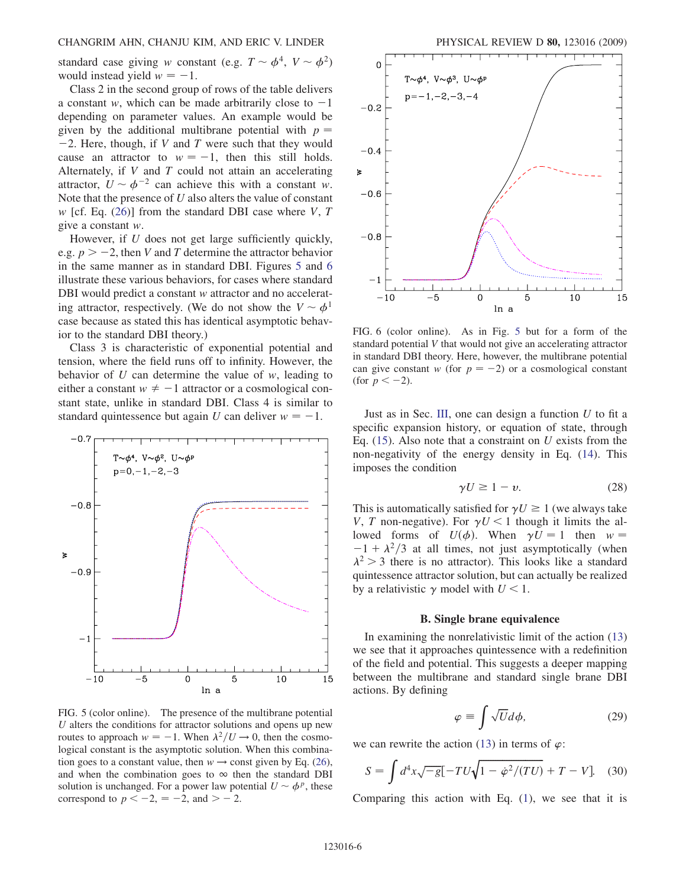standard case giving w constant (e.g.  $T \sim \phi^4$ ,  $V \sim \phi^2$ ) would instead yield  $w = -1$ .

Class 2 in the second group of rows of the table delivers a constant w, which can be made arbitrarily close to  $-1$ depending on parameter values. An example would be given by the additional multibrane potential with  $p =$  $-2$ . Here, though, if V and T were such that they would cause an attractor to  $w = -1$ , then this still holds. Alternately, if  $V$  and  $T$  could not attain an accelerating attractor,  $U \sim \phi^{-2}$  can achieve this with a constant w. Note that the presence of  $U$  also alters the value of constant w [cf. Eq. ([26](#page-4-1))] from the standard DBI case where V, T give a constant w.

However, if U does not get large sufficiently quickly, e.g.  $p > -2$ , then V and T determine the attractor behavior in the same manner as in standard DBI. Figures [5](#page-5-0) and [6](#page-5-1) illustrate these various behaviors, for cases where standard DBI would predict a constant w attractor and no accelerating attractor, respectively. (We do not show the  $V \sim \phi^1$ case because as stated this has identical asymptotic behavior to the standard DBI theory.)

Class 3 is characteristic of exponential potential and tension, where the field runs off to infinity. However, the behavior of  $U$  can determine the value of  $w$ , leading to either a constant  $w \neq -1$  attractor or a cosmological constant state, unlike in standard DBI. Class 4 is similar to standard quintessence but again U can deliver  $w = -1$ .

<span id="page-5-0"></span>

FIG. 5 (color online). The presence of the multibrane potential  $U$  alters the conditions for attractor solutions and opens up new routes to approach  $w = -1$ . When  $\lambda^2/U \rightarrow 0$ , then the cosmological constant is the asymptotic solution. When this combination goes to a constant value, then  $w \rightarrow$  const given by Eq. [\(26\)](#page-4-1), and when the combination goes to  $\infty$  then the standard DBI solution is unchanged. For a power law potential  $U \sim \phi^p$ , these correspond to  $p < -2$ ,  $= -2$ , and  $> -2$ .

<span id="page-5-1"></span>

FIG. 6 (color online). As in Fig. [5](#page-5-0) but for a form of the standard potential V that would not give an accelerating attractor in standard DBI theory. Here, however, the multibrane potential can give constant w (for  $p = -2$ ) or a cosmological constant (for  $p < -2$ ).

Just as in Sec. III, one can design a function  $U$  to fit a specific expansion history, or equation of state, through Eq.  $(15)$  $(15)$  $(15)$ . Also note that a constraint on U exists from the non-negativity of the energy density in Eq. ([14\)](#page-3-2). This imposes the condition

$$
\gamma U \ge 1 - v. \tag{28}
$$

This is automatically satisfied for  $\gamma U \ge 1$  (we always take V, T non-negative). For  $\gamma U < 1$  though it limits the allowed forms of  $U(\phi)$ . When  $\gamma U = 1$  then  $w =$  $-1 + \lambda^2/3$  at all times, not just asymptotically (when  $\lambda^2$  > 3 there is no attractor). This looks like a standard quintessence attractor solution, but can actually be realized by a relativistic  $\gamma$  model with  $U < 1$ .

### B. Single brane equivalence

In examining the nonrelativistic limit of the action [\(13\)](#page-3-3) we see that it approaches quintessence with a redefinition of the field and potential. This suggests a deeper mapping between the multibrane and standard single brane DBI actions. By defining

$$
\varphi \equiv \int \sqrt{U} d\phi, \qquad (29)
$$

<span id="page-5-2"></span>we can rewrite the action [\(13\)](#page-3-3) in terms of  $\varphi$ :

$$
S = \int d^4x \sqrt{-g} \left[ -TU\sqrt{1 - \dot{\varphi}^2/(TU)} + T - V \right]. \tag{30}
$$

Comparing this action with Eq.  $(1)$  $(1)$  $(1)$ , we see that it is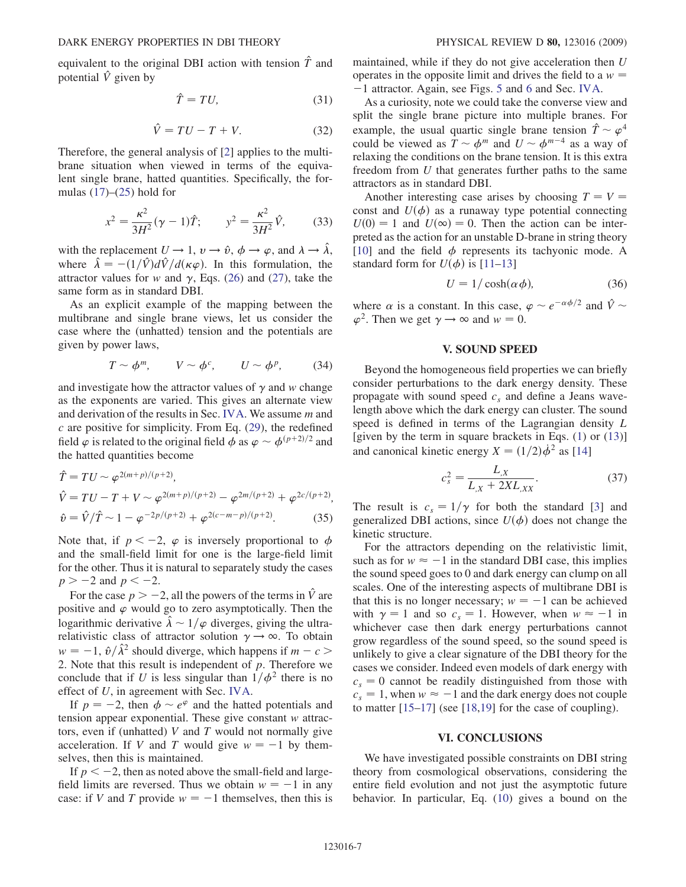$$
\hat{T} = TU,\tag{31}
$$

$$
\hat{V} = TU - T + V.\tag{32}
$$

Therefore, the general analysis of [\[2](#page-7-1)] applies to the multibrane situation when viewed in terms of the equivalent single brane, hatted quantities. Specifically, the formulas  $(17)$  $(17)$ – $(25)$  hold for

$$
x^{2} = \frac{\kappa^{2}}{3H^{2}}(\gamma - 1)\hat{T}; \qquad y^{2} = \frac{\kappa^{2}}{3H^{2}}\hat{V}, \qquad (33)
$$

with the replacement  $U \rightarrow 1$ ,  $v \rightarrow \hat{v}$ ,  $\phi \rightarrow \varphi$ , and  $\lambda \rightarrow \hat{\lambda}$ , where  $\hat{\lambda} = -(1/\hat{V})d\hat{V}/d(\kappa \varphi)$ . In this formulation, the attractor values for w and  $\gamma$ , Eqs. ([26](#page-4-1)) and [\(27\)](#page-4-3), take the same form as in standard DBI.

As an explicit example of the mapping between the multibrane and single brane views, let us consider the case where the (unhatted) tension and the potentials are given by power laws,

$$
T \sim \phi^m, \qquad V \sim \phi^c, \qquad U \sim \phi^p, \qquad (34)
$$

and investigate how the attractor values of  $\gamma$  and w change as the exponents are varied. This gives an alternate view and derivation of the results in Sec. IVA. We assume m and  $c$  are positive for simplicity. From Eq. [\(29\)](#page-5-2), the redefined field  $\varphi$  is related to the original field  $\phi$  as  $\varphi \sim \phi^{(p+2)/2}$  and the hatted quantities become

$$
\hat{T} = TU \sim \varphi^{2(m+p)/(p+2)},
$$
\n
$$
\hat{V} = TU - T + V \sim \varphi^{2(m+p)/(p+2)} - \varphi^{2m/(p+2)} + \varphi^{2c/(p+2)},
$$
\n
$$
\hat{v} = \hat{V}/\hat{T} \sim 1 - \varphi^{-2p/(p+2)} + \varphi^{2(c-m-p)/(p+2)}.
$$
\n(35)

Note that, if  $p < -2$ ,  $\varphi$  is inversely proportional to  $\phi$ and the small-field limit for one is the large-field limit for the other. Thus it is natural to separately study the cases  $p > -2$  and  $p < -2$ .

For the case  $p > -2$ , all the powers of the terms in  $\hat{V}$  are positive and  $\varphi$  would go to zero asymptotically. Then the logarithmic derivative  $\hat{\lambda} \sim 1/\varphi$  diverges, giving the ultrarelativistic class of attractor solution  $\gamma \rightarrow \infty$ . To obtain  $w = -1$ ,  $\hat{v}/\hat{\lambda}^2$  should diverge, which happens if  $m - c$ 2. Note that this result is independent of  $p$ . Therefore we conclude that if U is less singular than  $1/\phi^2$  there is no effect of U, in agreement with Sec. IVA.

If  $p = -2$ , then  $\phi \sim e^{\varphi}$  and the hatted potentials and tension appear exponential. These give constant w attractors, even if (unhatted)  $V$  and  $T$  would not normally give acceleration. If V and T would give  $w = -1$  by themselves, then this is maintained.

If  $p < -2$ , then as noted above the small-field and largefield limits are reversed. Thus we obtain  $w = -1$  in any case: if V and T provide  $w = -1$  themselves, then this is maintained, while if they do not give acceleration then U operates in the opposite limit and drives the field to a  $w =$ -1 attractor. Again, see Figs. [5](#page-5-0) and [6](#page-5-1) and Sec. IVA.

As a curiosity, note we could take the converse view and split the single brane picture into multiple branes. For example, the usual quartic single brane tension  $\hat{T} \sim \varphi^4$ could be viewed as  $T \sim \phi^m$  and  $U \sim \phi^{m-4}$  as a way of relaxing the conditions on the brane tension. It is this extra freedom from U that generates further paths to the same attractors as in standard DBI.

Another interesting case arises by choosing  $T = V =$ const and  $U(\phi)$  as a runaway type potential connecting  $U(0) = 1$  and  $U(\infty) = 0$ . Then the action can be interpreted as the action for an unstable D-brane in string theory [\[10\]](#page-7-9) and the field  $\phi$  represents its tachyonic mode. A standard form for  $U(\phi)$  is [[11](#page-7-10)[–13\]](#page-7-11)

$$
U = 1/\cosh(\alpha \phi), \tag{36}
$$

where  $\alpha$  is a constant. In this case,  $\varphi \sim e^{-\alpha \phi/2}$  and  $\hat{V} \sim$  $\varphi^2$ . Then we get  $\gamma \to \infty$  and  $w = 0$ .

# V. SOUND SPEED

Beyond the homogeneous field properties we can briefly consider perturbations to the dark energy density. These propagate with sound speed  $c_s$  and define a Jeans wavelength above which the dark energy can cluster. The sound speed is defined in terms of the Lagrangian density L [given by the term in square brackets in Eqs. ([1](#page-0-2)) or ([13](#page-3-3))] and canonical kinetic energy  $X = (1/2)\dot{\phi}^2$  as [\[14\]](#page-7-12)

$$
c_s^2 = \frac{L_X}{L_X + 2XL_{,XX}}.\tag{37}
$$

The result is  $c_s = 1/\gamma$  for both the standard [\[3\]](#page-7-2) and generalized DBI actions, since  $U(\phi)$  does not change the kinetic structure.

For the attractors depending on the relativistic limit, such as for  $w \approx -1$  in the standard DBI case, this implies the sound speed goes to 0 and dark energy can clump on all scales. One of the interesting aspects of multibrane DBI is that this is no longer necessary;  $w = -1$  can be achieved with  $\gamma = 1$  and so  $c_s = 1$ . However, when  $w \approx -1$  in whichever case then dark energy perturbations cannot grow regardless of the sound speed, so the sound speed is unlikely to give a clear signature of the DBI theory for the cases we consider. Indeed even models of dark energy with  $c_s = 0$  cannot be readily distinguished from those with  $c_s = 1$ , when  $w \approx -1$  and the dark energy does not couple to matter [[15](#page-7-13)[–17\]](#page-7-14) (see [[18](#page-7-15),[19](#page-7-16)] for the case of coupling).

### VI. CONCLUSIONS

We have investigated possible constraints on DBI string theory from cosmological observations, considering the entire field evolution and not just the asymptotic future behavior. In particular, Eq. ([10](#page-2-1)) gives a bound on the